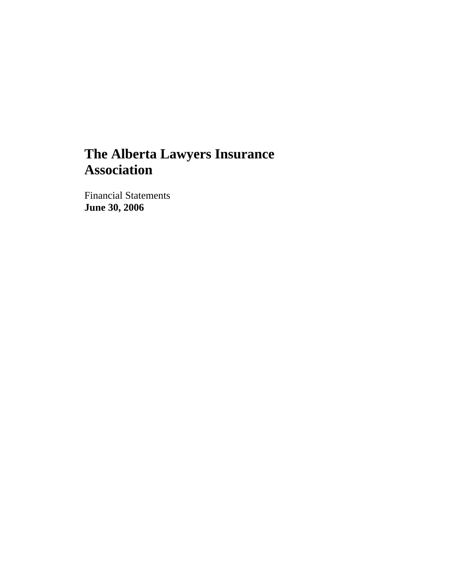# **The Alberta Lawyers Insurance Association**

Financial Statements **June 30, 2006**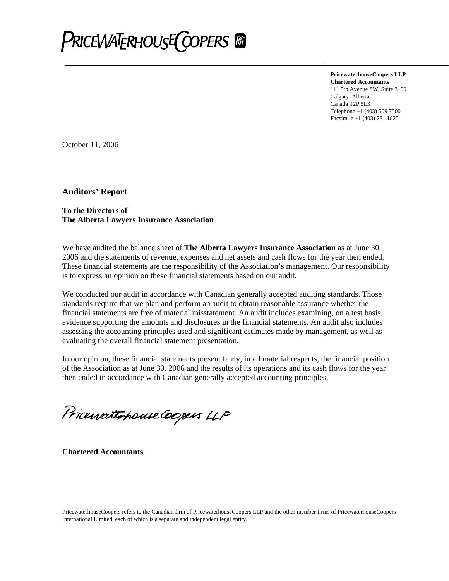

**PricewaterhouseCoopers LLP Chartered Accountants**  111 5th Avenue SW, Suite 3100 Calgary, Alberta Canada T2P 5L3 Telephone +1 (403) 509 7500 Facsimile +1 (403) 781 1825

October 11, 2006

**Auditors' Report** 

#### **To the Directors of The Alberta Lawyers Insurance Association**

We have audited the balance sheet of **The Alberta Lawyers Insurance Association** as at June 30, 2006 and the statements of revenue, expenses and net assets and cash flows for the year then ended. These financial statements are the responsibility of the Association's management. Our responsibility is to express an opinion on these financial statements based on our audit.

We conducted our audit in accordance with Canadian generally accepted auditing standards. Those standards require that we plan and perform an audit to obtain reasonable assurance whether the financial statements are free of material misstatement. An audit includes examining, on a test basis, evidence supporting the amounts and disclosures in the financial statements. An audit also includes assessing the accounting principles used and significant estimates made by management, as well as evaluating the overall financial statement presentation.

In our opinion, these financial statements present fairly, in all material respects, the financial position of the Association as at June 30, 2006 and the results of its operations and its cash flows for the year then ended in accordance with Canadian generally accepted accounting principles.

Pricewaterhouse Coopers LLP

**Chartered Accountants**

PricewaterhouseCoopers refers to the Canadian firm of PricewaterhouseCoopers LLP and the other member firms of PricewaterhouseCoopers International Limited, each of which is a separate and independent legal entity.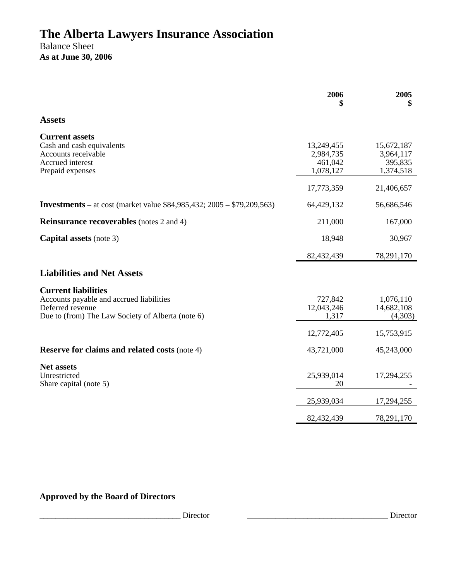|                                                                                                                                                 | 2006                                            | 2005                                             |
|-------------------------------------------------------------------------------------------------------------------------------------------------|-------------------------------------------------|--------------------------------------------------|
| <b>Assets</b>                                                                                                                                   |                                                 |                                                  |
| <b>Current assets</b><br>Cash and cash equivalents<br>Accounts receivable<br>Accrued interest<br>Prepaid expenses                               | 13,249,455<br>2,984,735<br>461,042<br>1,078,127 | 15,672,187<br>3,964,117<br>395,835<br>1,374,518  |
|                                                                                                                                                 | 17,773,359                                      | 21,406,657                                       |
| <b>Investments</b> – at cost (market value \$84,985,432; 2005 – \$79,209,563)                                                                   | 64,429,132                                      | 56,686,546                                       |
| <b>Reinsurance recoverables</b> (notes 2 and 4)                                                                                                 | 211,000                                         | 167,000                                          |
| <b>Capital assets</b> (note 3)                                                                                                                  | 18,948                                          | 30,967                                           |
|                                                                                                                                                 | 82,432,439                                      | 78,291,170                                       |
| <b>Liabilities and Net Assets</b>                                                                                                               |                                                 |                                                  |
| <b>Current liabilities</b><br>Accounts payable and accrued liabilities<br>Deferred revenue<br>Due to (from) The Law Society of Alberta (note 6) | 727,842<br>12,043,246<br>1,317<br>12,772,405    | 1,076,110<br>14,682,108<br>(4,303)<br>15,753,915 |
| <b>Reserve for claims and related costs (note 4)</b>                                                                                            | 43,721,000                                      | 45,243,000                                       |
| <b>Net assets</b><br>Unrestricted<br>Share capital (note 5)                                                                                     | 25,939,014<br>20                                | 17,294,255                                       |
|                                                                                                                                                 | 25,939,034                                      | 17,294,255                                       |
|                                                                                                                                                 | 82,432,439                                      | 78,291,170                                       |
|                                                                                                                                                 |                                                 |                                                  |

# **Approved by the Board of Directors**

\_\_\_\_\_\_\_\_\_\_\_\_\_\_\_\_\_\_\_\_\_\_\_\_\_\_\_\_\_\_\_\_\_\_\_ Director \_\_\_\_\_\_\_\_\_\_\_\_\_\_\_\_\_\_\_\_\_\_\_\_\_\_\_\_\_\_\_\_\_\_\_ Director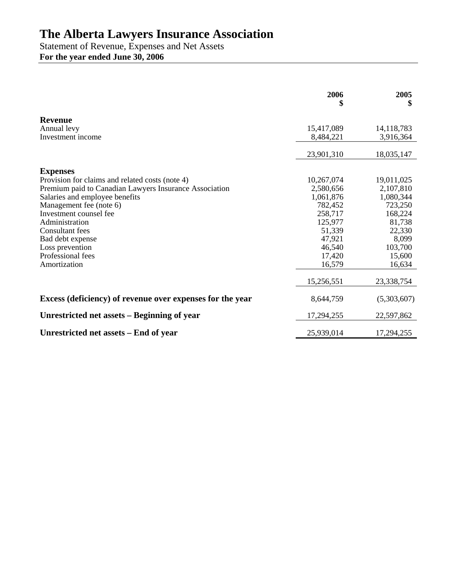# **The Alberta Lawyers Insurance Association**

Statement of Revenue, Expenses and Net Assets **For the year ended June 30, 2006** 

|                                                           | 2006<br>\$ | 2005<br>\$   |
|-----------------------------------------------------------|------------|--------------|
| <b>Revenue</b>                                            |            |              |
| Annual levy                                               | 15,417,089 | 14, 118, 783 |
| Investment income                                         | 8,484,221  | 3,916,364    |
|                                                           | 23,901,310 | 18,035,147   |
| <b>Expenses</b>                                           |            |              |
| Provision for claims and related costs (note 4)           | 10,267,074 | 19,011,025   |
| Premium paid to Canadian Lawyers Insurance Association    | 2,580,656  | 2,107,810    |
| Salaries and employee benefits                            | 1,061,876  | 1,080,344    |
| Management fee (note 6)                                   | 782,452    | 723,250      |
| Investment counsel fee                                    | 258,717    | 168,224      |
| Administration                                            | 125,977    | 81,738       |
| Consultant fees                                           | 51,339     | 22,330       |
| Bad debt expense                                          | 47,921     | 8,099        |
| Loss prevention                                           | 46,540     | 103,700      |
| Professional fees                                         | 17,420     | 15,600       |
| Amortization                                              | 16,579     | 16,634       |
|                                                           | 15,256,551 | 23,338,754   |
| Excess (deficiency) of revenue over expenses for the year | 8,644,759  | (5,303,607)  |
| Unrestricted net assets – Beginning of year               | 17,294,255 | 22,597,862   |
| Unrestricted net assets – End of year                     | 25,939,014 | 17,294,255   |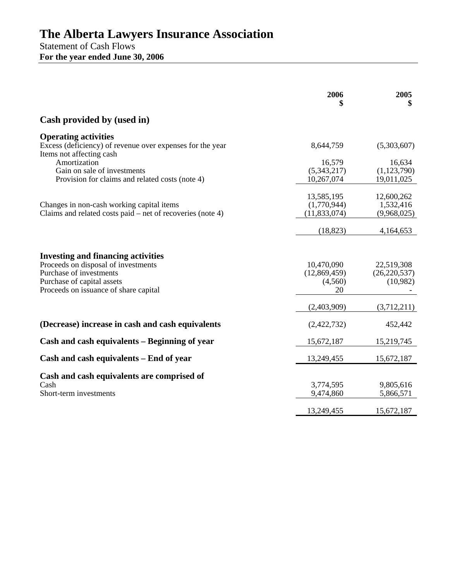# **The Alberta Lawyers Insurance Association**

Statement of Cash Flows **For the year ended June 30, 2006** 

|                                                                                                                                                                                    | 2006                                        | 2005<br>\$                               |
|------------------------------------------------------------------------------------------------------------------------------------------------------------------------------------|---------------------------------------------|------------------------------------------|
| Cash provided by (used in)                                                                                                                                                         |                                             |                                          |
| <b>Operating activities</b><br>Excess (deficiency) of revenue over expenses for the year<br>Items not affecting cash                                                               | 8,644,759                                   | (5,303,607)                              |
| Amortization<br>Gain on sale of investments<br>Provision for claims and related costs (note 4)                                                                                     | 16,579<br>(5,343,217)<br>10,267,074         | 16,634<br>(1,123,790)<br>19,011,025      |
| Changes in non-cash working capital items<br>Claims and related costs paid $-$ net of recoveries (note 4)                                                                          | 13,585,195<br>(1,770,944)<br>(11, 833, 074) | 12,600,262<br>1,532,416<br>(9,968,025)   |
|                                                                                                                                                                                    | (18, 823)                                   | 4,164,653                                |
| <b>Investing and financing activities</b><br>Proceeds on disposal of investments<br>Purchase of investments<br>Purchase of capital assets<br>Proceeds on issuance of share capital | 10,470,090<br>(12,869,459)<br>(4,560)<br>20 | 22,519,308<br>(26, 220, 537)<br>(10,982) |
|                                                                                                                                                                                    | (2,403,909)                                 | (3,712,211)                              |
| (Decrease) increase in cash and cash equivalents                                                                                                                                   | (2,422,732)                                 | 452,442                                  |
| Cash and cash equivalents – Beginning of year                                                                                                                                      | 15,672,187                                  | 15,219,745                               |
| Cash and cash equivalents - End of year                                                                                                                                            | 13,249,455                                  | 15,672,187                               |
| Cash and cash equivalents are comprised of<br>Cash<br>Short-term investments                                                                                                       | 3,774,595<br>9,474,860                      | 9,805,616<br>5,866,571                   |
|                                                                                                                                                                                    | 13,249,455                                  | 15,672,187                               |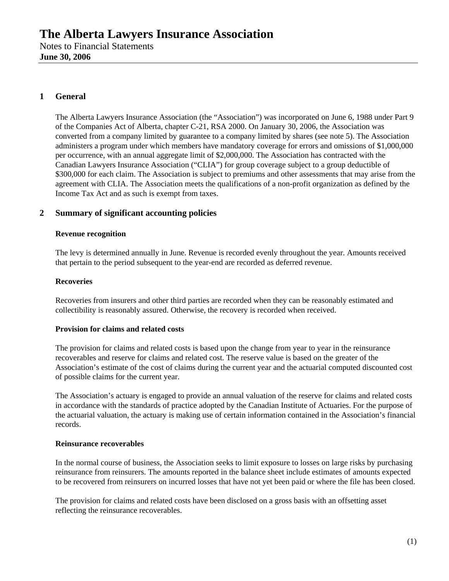# **1 General**

The Alberta Lawyers Insurance Association (the "Association") was incorporated on June 6, 1988 under Part 9 of the Companies Act of Alberta, chapter C-21, RSA 2000. On January 30, 2006, the Association was converted from a company limited by guarantee to a company limited by shares (see note 5). The Association administers a program under which members have mandatory coverage for errors and omissions of \$1,000,000 per occurrence, with an annual aggregate limit of \$2,000,000. The Association has contracted with the Canadian Lawyers Insurance Association ("CLIA") for group coverage subject to a group deductible of \$300,000 for each claim. The Association is subject to premiums and other assessments that may arise from the agreement with CLIA. The Association meets the qualifications of a non-profit organization as defined by the Income Tax Act and as such is exempt from taxes.

## **2 Summary of significant accounting policies**

#### **Revenue recognition**

The levy is determined annually in June. Revenue is recorded evenly throughout the year. Amounts received that pertain to the period subsequent to the year-end are recorded as deferred revenue.

#### **Recoveries**

Recoveries from insurers and other third parties are recorded when they can be reasonably estimated and collectibility is reasonably assured. Otherwise, the recovery is recorded when received.

#### **Provision for claims and related costs**

The provision for claims and related costs is based upon the change from year to year in the reinsurance recoverables and reserve for claims and related cost. The reserve value is based on the greater of the Association's estimate of the cost of claims during the current year and the actuarial computed discounted cost of possible claims for the current year.

The Association's actuary is engaged to provide an annual valuation of the reserve for claims and related costs in accordance with the standards of practice adopted by the Canadian Institute of Actuaries. For the purpose of the actuarial valuation, the actuary is making use of certain information contained in the Association's financial records.

#### **Reinsurance recoverables**

In the normal course of business, the Association seeks to limit exposure to losses on large risks by purchasing reinsurance from reinsurers. The amounts reported in the balance sheet include estimates of amounts expected to be recovered from reinsurers on incurred losses that have not yet been paid or where the file has been closed.

The provision for claims and related costs have been disclosed on a gross basis with an offsetting asset reflecting the reinsurance recoverables.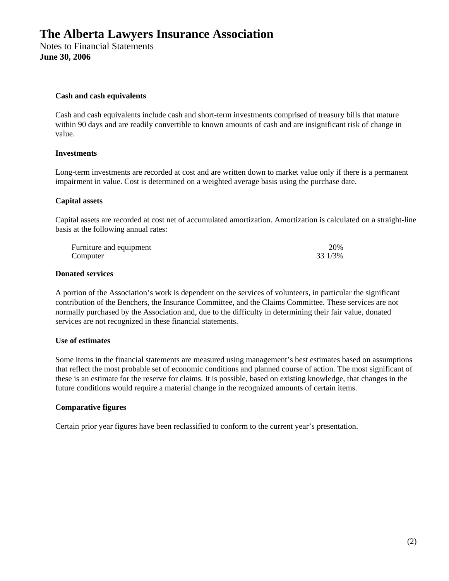#### **Cash and cash equivalents**

Cash and cash equivalents include cash and short-term investments comprised of treasury bills that mature within 90 days and are readily convertible to known amounts of cash and are insignificant risk of change in value.

#### **Investments**

Long-term investments are recorded at cost and are written down to market value only if there is a permanent impairment in value. Cost is determined on a weighted average basis using the purchase date.

#### **Capital assets**

Capital assets are recorded at cost net of accumulated amortization. Amortization is calculated on a straight-line basis at the following annual rates:

| Furniture and equipment | 20%     |
|-------------------------|---------|
| Computer                | 33 1/3% |

#### **Donated services**

A portion of the Association's work is dependent on the services of volunteers, in particular the significant contribution of the Benchers, the Insurance Committee, and the Claims Committee. These services are not normally purchased by the Association and, due to the difficulty in determining their fair value, donated services are not recognized in these financial statements.

#### **Use of estimates**

Some items in the financial statements are measured using management's best estimates based on assumptions that reflect the most probable set of economic conditions and planned course of action. The most significant of these is an estimate for the reserve for claims. It is possible, based on existing knowledge, that changes in the future conditions would require a material change in the recognized amounts of certain items.

#### **Comparative figures**

Certain prior year figures have been reclassified to conform to the current year's presentation.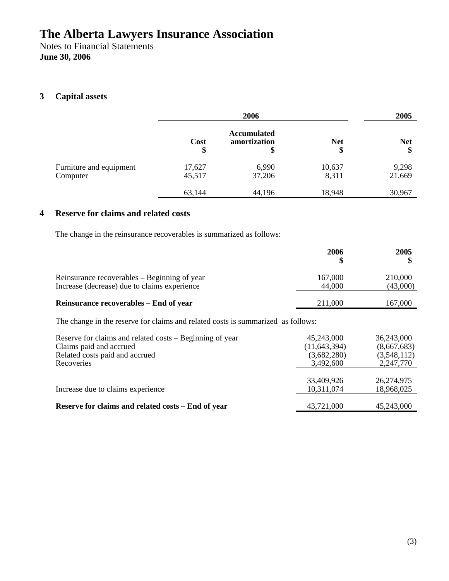**June 30, 2006** 

# **3 Capital assets**

|                                     | 2006             |                                          | 2005             |                  |
|-------------------------------------|------------------|------------------------------------------|------------------|------------------|
|                                     | Cost<br>\$       | <b>Accumulated</b><br>amortization<br>\$ | <b>Net</b><br>\$ | <b>Net</b><br>\$ |
| Furniture and equipment<br>Computer | 17,627<br>45,517 | 6,990<br>37,206                          | 10,637<br>8,311  | 9,298<br>21,669  |
|                                     | 63,144           | 44,196                                   | 18,948           | 30,967           |

## **4 Reserve for claims and related costs**

The change in the reinsurance recoverables is summarized as follows:

|                                                                                                                                     | 2006<br>S                                                | 2005                                                  |
|-------------------------------------------------------------------------------------------------------------------------------------|----------------------------------------------------------|-------------------------------------------------------|
| Reinsurance recoverables – Beginning of year<br>Increase (decrease) due to claims experience                                        | 167,000<br>44,000                                        | 210,000<br>(43,000)                                   |
| Reinsurance recoverables – End of year                                                                                              | 211,000                                                  | 167,000                                               |
| The change in the reserve for claims and related costs is summarized as follows:                                                    |                                                          |                                                       |
| Reserve for claims and related costs – Beginning of year<br>Claims paid and accrued<br>Related costs paid and accrued<br>Recoveries | 45,243,000<br>(11, 643, 394)<br>(3,682,280)<br>3,492,600 | 36,243,000<br>(8,667,683)<br>(3,548,112)<br>2,247,770 |
| Increase due to claims experience                                                                                                   | 33,409,926<br>10,311,074                                 | 26,274,975<br>18,968,025                              |
| Reserve for claims and related costs – End of year                                                                                  | 43,721,000                                               | 45,243,000                                            |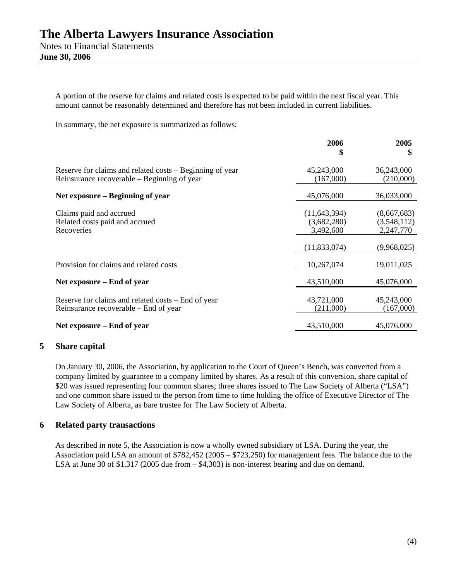**June 30, 2006** 

A portion of the reserve for claims and related costs is expected to be paid within the next fiscal year. This amount cannot be reasonably determined and therefore has not been included in current liabilities.

In summary, the net exposure is summarized as follows:

|                                                                                                         | 2006<br>\$                                 | 2005<br>\$                              |
|---------------------------------------------------------------------------------------------------------|--------------------------------------------|-----------------------------------------|
| Reserve for claims and related costs – Beginning of year<br>Reinsurance recoverable – Beginning of year | 45,243,000<br>(167,000)                    | 36,243,000<br>(210,000)                 |
| Net exposure – Beginning of year                                                                        | 45,076,000                                 | 36,033,000                              |
| Claims paid and accrued<br>Related costs paid and accrued<br>Recoveries                                 | (11, 643, 394)<br>(3,682,280)<br>3,492,600 | (8,667,683)<br>(3,548,112)<br>2,247,770 |
|                                                                                                         | (11, 833, 074)                             | (9,968,025)                             |
| Provision for claims and related costs                                                                  | 10,267,074                                 | 19,011,025                              |
| Net exposure – End of year                                                                              | 43,510,000                                 | 45,076,000                              |
| Reserve for claims and related costs – End of year<br>Reinsurance recoverable – End of year             | 43,721,000<br>(211,000)                    | 45,243,000<br>(167,000)                 |
| Net exposure – End of year                                                                              | 43,510,000                                 | 45,076,000                              |
|                                                                                                         |                                            |                                         |

#### **5 Share capital**

On January 30, 2006, the Association, by application to the Court of Queen's Bench, was converted from a company limited by guarantee to a company limited by shares. As a result of this conversion, share capital of \$20 was issued representing four common shares; three shares issued to The Law Society of Alberta ("LSA") and one common share issued to the person from time to time holding the office of Executive Director of The Law Society of Alberta, as bare trustee for The Law Society of Alberta.

#### **6 Related party transactions**

As described in note 5, the Association is now a wholly owned subsidiary of LSA. During the year, the Association paid LSA an amount of \$782,452 (2005 – \$723,250) for management fees. The balance due to the LSA at June 30 of  $$1,317$  (2005 due from  $- $4,303$ ) is non-interest bearing and due on demand.